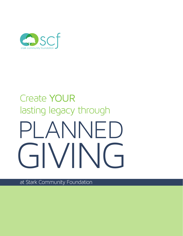

# PLANNED GIVING Create YOUR lasting legacy through

at Stark Community Foundation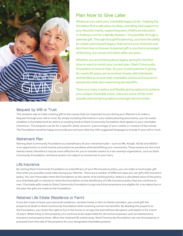

## Plan Now to Give Later

Whatever you want your charitable legacy to be – helping the homeless find a safe place to sleep, providing vital support to your favorite charity, supporting early childhood education or finding a cure for a deadly disease – it is possible through a planned gift. Through thoughtful planning, you have the ability to create a permanent legacy that honors your interests and lets them live on forever. A planned gift is one that is arranged while living, but comes to fruition after you pass.

Whether you are thinking about legacy giving for the first time or want to revisit your current plan, Stark Community Foundation is here to help. As your trusted partner in giving for nearly 60 years, we've worked closely with individuals and families to ensure their charitable wishes are honored in perpetuity while also maximizing tax benefits.

There are many creative and flexible giving options to achieve your unique charitable vision. Here are some of the most popular planned giving options amongst donors today:

Bequest by Will or Trust<br>The simplest way to make a lasting gift to the causes that are important to you during your lifetime is to make a bequest through your will or trust. By simply including information in your estate planning documents, you can easily establish a charitable fund (or add to an existing fund) at Stark Community Foundation that speaks to your charitable intentions. The bequest can be for a specific dollar amount, a percentage of your estate or residue of the estate. The Foundation would be happy to provide you and your attorney with suggested language to include in your will or trust.

#### Retirement Plan

Naming Stark Community Foundation as a beneficiary of your retirement plan – such as IRA, Keogh, 401(k) and 403(b) – is an opportunity to avoid income and estate tax penalties while benefitting your community. These assets are the most heavily taxed; therefore it may be more effective for you to transfer assets to a tax-exempt organization, such as Stark Community Foundation, and leave assets not subject to income tax to your heirs.

#### Life Insurance

By naming Stark Community Foundation as a beneficiary of your life insurance policy, you can make a much larger gift than what you possibly could make during your lifetime. There are a number of different ways you can gift a life insurance policy. You can irrevocably name the Foundation as the owner of an existing policy, deduct a calculated value of the policy as a charitable gift or choose to name the Foundation as the beneficiary of a life insurance policy that you continue to own. Charitable gifts made to Stark Community Foundation to pay any future premiums are eligible for a tax deduction in the year the gifts are made to the Foundation.

#### Retained Life Estate (Residence or Farm)

If you don't plan to leave your personal residence, vacation home or farm to family members, you could gift the property at death to Stark Community Foundation while receiving current tax benefits. By deeding the property to the Foundation, you retain the right to live in the home or occupy the land without disruption until death or for a term of years. While living on the property, you continue to be responsible for all routine expenses such as maintenance, insurance and property taxes. When the retained life estate ends, Stark Community Foundation can use the property or proceeds from the sale of the property for your designated charitable purpose.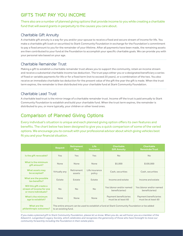# GIFTS THAT PAY YOU INCOME

There also are a number of planned giving options that provide income to you while creating a charitable fund that will award grants in perpetuity to the causes you care about.

### Charitable Gift Annuity

A charitable gift annuity is a way for you and/or your spouse to receive a fixed and secure stream of income for life. You make a charitable gift (cash or securities) to Stark Community Foundation in exchange for the Foundation's commitment to pay a fixed amount to you for the remainder of your lifetime. After all payments have been made, the remaining assets are then contributed to your fund at the Foundation to accomplish your specific charitable goals. We can provide you with your personal rate based on your age.

#### Charitable Remainder Trust

Making a gift to establish a charitable remainder trust allows you to support the community, retain an income stream and receive a substantial charitable income tax deduction. The trust pays either you or a designated beneficiary a series of fixed or variable payments for life or for a fixed term (not to exceed 20 years), or a combination of the two. You also receive an immediate charitable tax deduction for the present value of the gift the year the gift is made. When the trust term expires, the remainder is then distributed into your charitable fund at Stark Community Foundation.

#### Charitable Lead Trust

A charitable lead trust is the mirror image of a charitable remainder trust. Income off the trust is paid annually to Stark Community Foundation to establish and build your charitable fund. When the trust term expires, the remainder is distributed to you, or more typically, your children or other loved ones.

# Comparison of Planned Giving Options

Every individual's situation is unique and each planned giving option offers its own features and benefits. The chart below has been designed to give you a quick comparison of some of the varied options. We encourage you to consult with your professional advisor about which giving vehicles best fit you and your financial situation.

|                                                                             | <b>Bequest</b>                                                                                                      | <b>Retirement</b><br><b>Plan</b> | <b>Life</b><br><b>Insurance</b> | <b>Charitable</b><br><b>Gift Annuity</b>     | <b>Charitable</b><br><b>RemainderTrust</b>   |
|-----------------------------------------------------------------------------|---------------------------------------------------------------------------------------------------------------------|----------------------------------|---------------------------------|----------------------------------------------|----------------------------------------------|
| Is the gift revocable?                                                      | Yes                                                                                                                 | Yes                              | Yes                             | No                                           | No                                           |
| What is the minimum<br>qift amount?                                         | None                                                                                                                | None                             | None                            | \$5,000                                      | \$100,000                                    |
| What assets may<br>be accepted?                                             | Virtually any                                                                                                       | Retirement<br>assets             | Life insurance<br>policy        | Cash, securities                             | Cash, securities                             |
| What are the possible<br>tax benefits?                                      | Estate                                                                                                              | Estate                           | Estate                          | Income and estate                            | Income and estate                            |
| Will this gift create a<br>stream of income for one<br>or more individuals? | No                                                                                                                  | <b>No</b>                        | <b>No</b>                       | Yes (donor and/or named<br>beneficiaries)    | Yes (donor and/or named<br>beneficiaries)    |
| What's the minimum<br>age to establish?                                     | None                                                                                                                | None                             | None                            | Payment beneficiaries<br>must be at least 60 | Payment beneficiaries<br>must be at least 60 |
| What are the<br>philanthropic outcomes?                                     | The entire amount can be used to establish a fund at Stark Community Foundation or be added<br>to an existing fund. |                                  |                                 |                                              |                                              |

*If you make a planned gift to Stark Community Foundation, please let us know. When you do, we will honor you as a member of the Edward A. Langenbach Legacy Society, which celebrates and recognizes the generosity of those who have foresight to move our community forward by including the Foundation in their estate plans.*